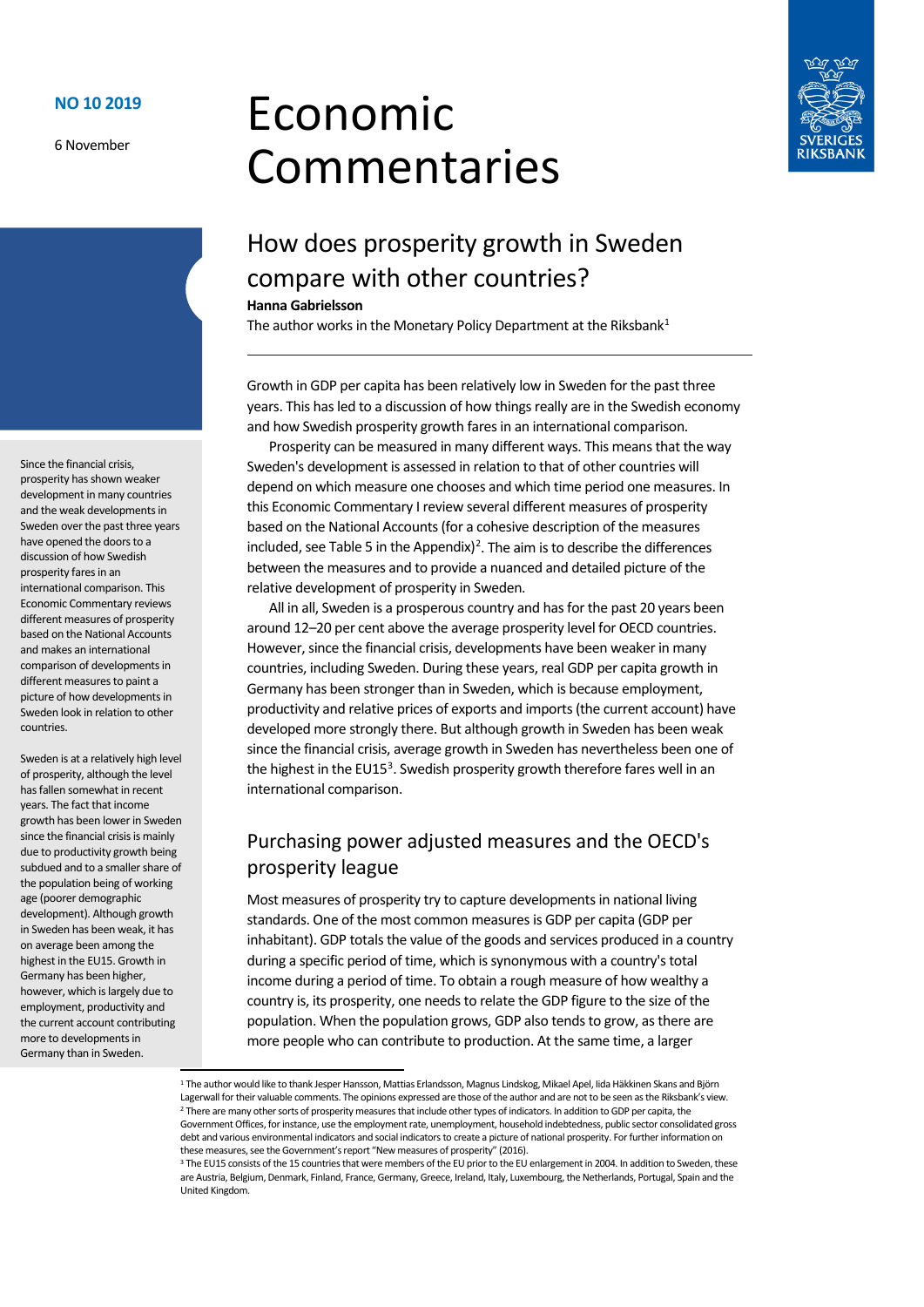6 November

# Economic Commentaries



## How does prosperity growth in Sweden compare with other countries?

#### **Hanna Gabrielsson**

The author works in the Monetary Policy Department at the Riksbank<sup>1</sup>

Growth in GDP per capita has been relatively low in Sweden for the past three years. This has led to a discussion of how things really are in the Swedish economy and how Swedish prosperity growth fares in an international comparison.

Prosperity can be measured in many different ways. This means that the way Sweden's development is assessed in relation to that of other countries will depend on which measure one chooses and which time period one measures. In this Economic Commentary I review several different measures of prosperity based on the National Accounts (for a cohesive description of the measures included, see Table 5 in the Appendix)<sup>[2](#page-0-1)</sup>. The aim is to describe the differences between the measures and to provide a nuanced and detailed picture of the relative development of prosperity in Sweden.

All in all, Sweden is a prosperous country and has for the past 20 years been around 12–20 per cent above the average prosperity level for OECD countries. However, since the financial crisis, developments have been weaker in many countries, including Sweden. During these years, real GDP per capita growth in Germany has been stronger than in Sweden, which is because employment, productivity and relative prices of exports and imports (the current account) have developed more strongly there. But although growth in Sweden has been weak since the financial crisis, average growth in Sweden has nevertheless been one of the highest in the EU15<sup>[3](#page-0-2)</sup>. Swedish prosperity growth therefore fares well in an international comparison.

## Purchasing power adjusted measures and the OECD's prosperity league

Most measures of prosperity try to capture developments in national living standards. One of the most common measures is GDP per capita (GDP per inhabitant). GDP totals the value of the goods and services produced in a country during a specific period of time, which is synonymous with a country's total income during a period of time. To obtain a rough measure of how wealthy a country is, its prosperity, one needs to relate the GDP figure to the size of the population. When the population grows, GDP also tends to grow, as there are more people who can contribute to production. At the same time, a larger

Since the financial crisis, prosperity has shown weaker development in many countries and the weak developments in Sweden over the past three years have opened the doors to a discussion of how Swedish prosperity fares in an international comparison. This Economic Commentary reviews different measures of prosperity based on the National Accounts and makes an international comparison of developments in different measures to paint a picture of how developments in Sweden look in relation to other countries.

Sweden is at a relatively high level of prosperity, although the level has fallen somewhat in recent years. The fact that income growth has been lower in Sweden since the financial crisis is mainly due to productivity growth being subdued and to a smaller share of the population being of working age (poorer demographic development). Although growth in Sweden has been weak, it has on average been among the highest in the EU15. Growth in Germany has been higher, however, which is largely due to employment, productivity and the current account contributing more to developments in Germany than in Sweden.

<span id="page-0-1"></span><span id="page-0-0"></span><sup>&</sup>lt;sup>1</sup> The author would like to thank Jesper Hansson, Mattias Erlandsson, Magnus Lindskog, Mikael Apel, Iida Häkkinen Skans and Björn Lagerwall for their valuable comments. The opinions expressed are those of the author and are not to be seen as the Riksbank's view. <sup>2</sup> There are many other sorts of prosperity measures that include other types of indicators. In addition to GDP per capita, the Government Offices, for instance, use the employment rate, unemployment, household indebtedness, public sector consolidated gross debt and various environmental indicators and social indicators to create a picture of national prosperity. For further information on

<span id="page-0-2"></span>these measures, see the Government's report "New measures of prosperity" (2016).<br><sup>3</sup> The EU15 consists of the 15 countries that were members of the EU prior to the EU enlargement in 2004. In addition to Sweden, these are Austria, Belgium, Denmark, Finland, France, Germany, Greece, Ireland, Italy, Luxembourg, the Netherlands, Portugal, Spain and the United Kingdom.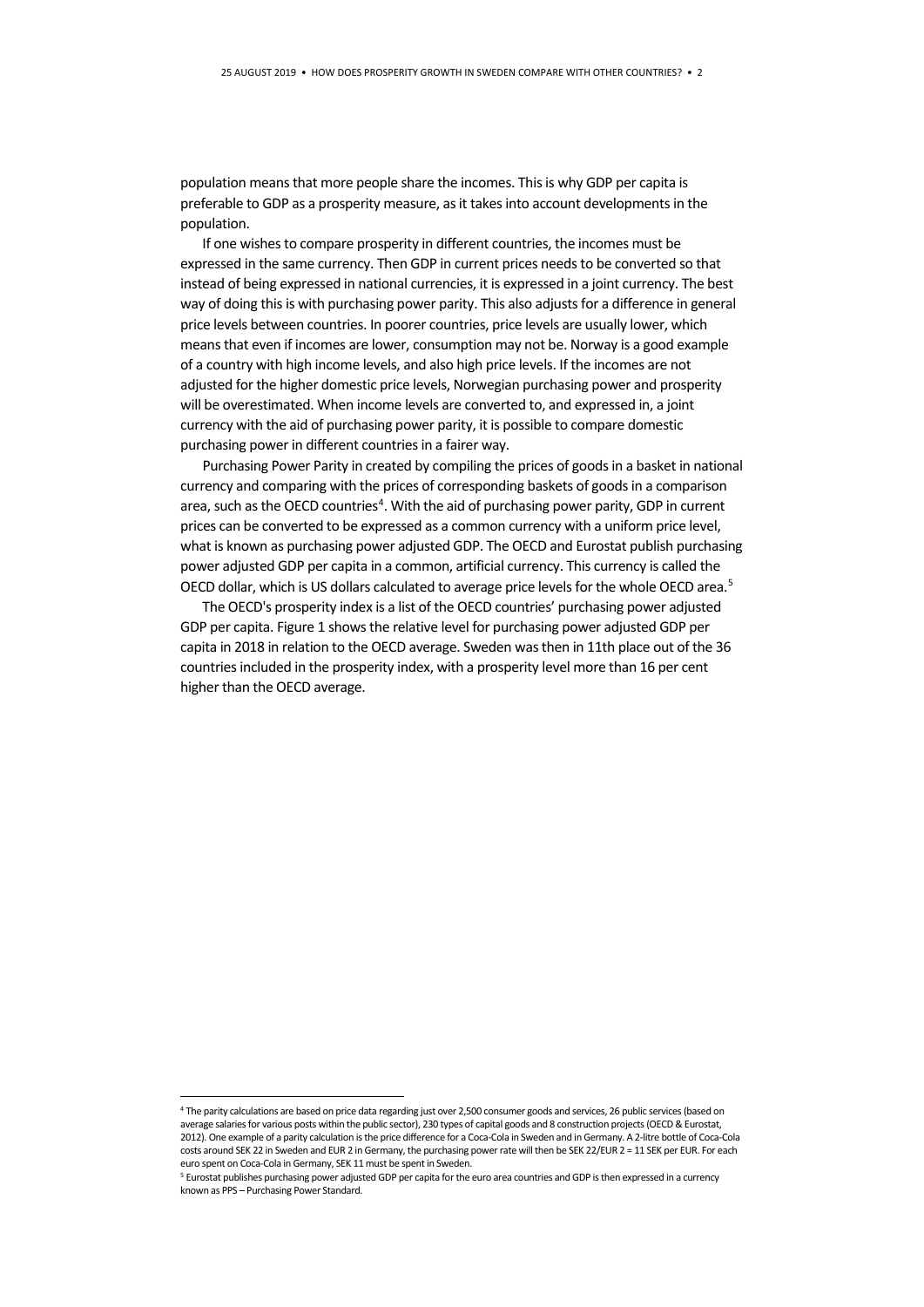population means that more people share the incomes. This is why GDP per capita is preferable to GDP as a prosperity measure, as it takes into account developments in the population.

If one wishes to compare prosperity in different countries, the incomes must be expressed in the same currency. Then GDP in current prices needs to be converted so that instead of being expressed in national currencies, it is expressed in a joint currency. The best way of doing this is with purchasing power parity. This also adjusts for a difference in general price levels between countries. In poorer countries, price levels are usually lower, which means that even if incomes are lower, consumption may not be. Norway is a good example of a country with high income levels, and also high price levels. If the incomes are not adjusted for the higher domestic price levels, Norwegian purchasing power and prosperity will be overestimated. When income levels are converted to, and expressed in, a joint currency with the aid of purchasing power parity, it is possible to compare domestic purchasing power in different countries in a fairer way.

Purchasing Power Parity in created by compiling the prices of goods in a basket in national currency and comparing with the prices of corresponding baskets of goods in a comparison area, such as the OECD countries<sup>[4](#page-1-0)</sup>. With the aid of purchasing power parity, GDP in current prices can be converted to be expressed as a common currency with a uniform price level, what is known as purchasing power adjusted GDP. The OECD and Eurostat publish purchasing power adjusted GDP per capita in a common, artificial currency. This currency is called the OECD dollar, which is US dollars calculated to average price levels for the whole OECD area.<sup>5</sup>

The OECD's prosperity index is a list of the OECD countries' purchasing power adjusted GDP per capita. Figure 1 shows the relative level for purchasing power adjusted GDP per capita in 2018 in relation to the OECD average. Sweden was then in 11th place out of the 36 countries included in the prosperity index, with a prosperity level more than 16 per cent higher than the OECD average.

<span id="page-1-0"></span> <sup>4</sup> The parity calculations are based on price data regarding just over 2,500 consumer goods and services, 26 public services (based on average salaries for various posts within the public sector), 230 types of capital goods and 8 construction projects (OECD & Eurostat, 2012). One example of a parity calculation is the price difference for a Coca-Cola in Sweden and in Germany. A 2-litre bottle of Coca-Cola costs around SEK 22 in Sweden and EUR 2 in Germany, the purchasing power rate will then be SEK 22/EUR 2 = 11 SEK per EUR. For each euro spent on Coca-Cola in Germany, SEK 11 must be spent in Sweden.<br><sup>5</sup> Eurostat publishes purchasing power adjusted GDP per capita for the euro area countries and GDP is then expressed in a currency

<span id="page-1-1"></span>known as PPS – Purchasing Power Standard.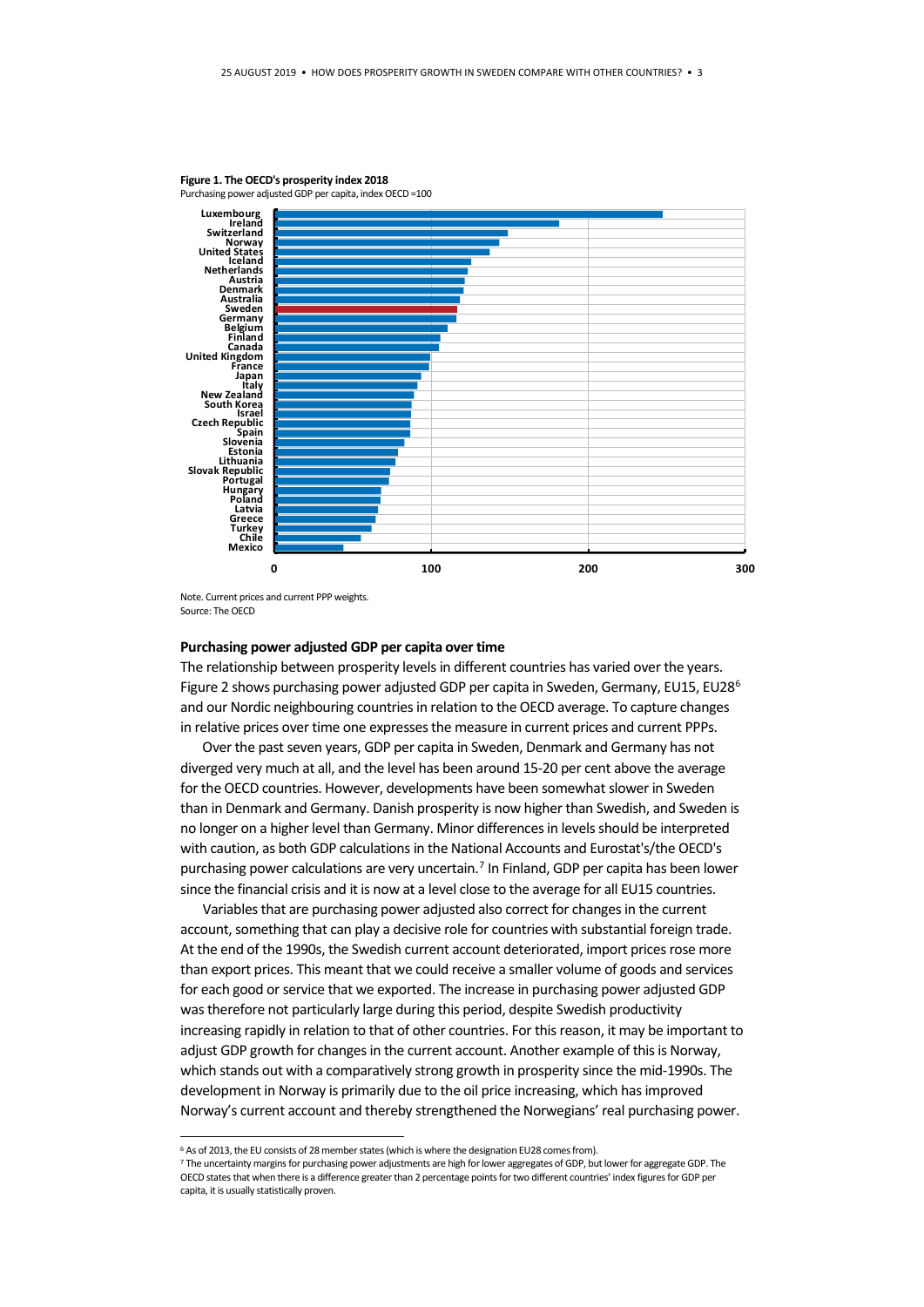

#### **Figure 1. The OECD's prosperity index 2018**

Purchasing power adjusted GDP per capita, index OECD =100

#### **Purchasing power adjusted GDP per capita over time**

The relationship between prosperity levels in different countries has varied over the years. Figure 2 shows purchasing power adjusted GDP per capita in Sweden, Germany, EU15, EU28<sup>[6](#page-2-0)</sup> and our Nordic neighbouring countries in relation to the OECD average. To capture changes in relative prices over time one expresses the measure in current prices and current PPPs.

Over the past seven years, GDP per capita in Sweden, Denmark and Germany has not diverged very much at all, and the level has been around 15-20 per cent above the average for the OECD countries. However, developments have been somewhat slower in Sweden than in Denmark and Germany. Danish prosperity is now higher than Swedish, and Sweden is no longer on a higher level than Germany. Minor differences in levels should be interpreted with caution, as both GDP calculations in the National Accounts and Eurostat's/the OECD's purchasing power calculations are very uncertain.<sup>[7](#page-2-1)</sup> In Finland, GDP per capita has been lower since the financial crisis and it is now at a level close to the average for all EU15 countries.

Variables that are purchasing power adjusted also correct for changes in the current account, something that can play a decisive role for countries with substantial foreign trade. At the end of the 1990s, the Swedish current account deteriorated, import prices rose more than export prices. This meant that we could receive a smaller volume of goods and services for each good or service that we exported. The increase in purchasing power adjusted GDP was therefore not particularly large during this period, despite Swedish productivity increasing rapidly in relation to that of other countries. For this reason, it may be important to adjust GDP growth for changes in the current account. Another example of this is Norway, which stands out with a comparatively strong growth in prosperity since the mid-1990s. The development in Norway is primarily due to the oil price increasing, which has improved Norway's current account and thereby strengthened the Norwegians' real purchasing power.

Note. Current prices and current PPP weights. Source: The OECD

 $6$  As of 2013, the EU consists of 28 member states (which is where the designation EU28 comes from).

<span id="page-2-1"></span><span id="page-2-0"></span><sup>7</sup> The uncertainty margins for purchasing power adjustments are high for lower aggregates of GDP, but lower for aggregate GDP. The OECD states that when there is a difference greater than 2 percentage points for two different countries' index figures for GDP per capita, it is usually statistically proven.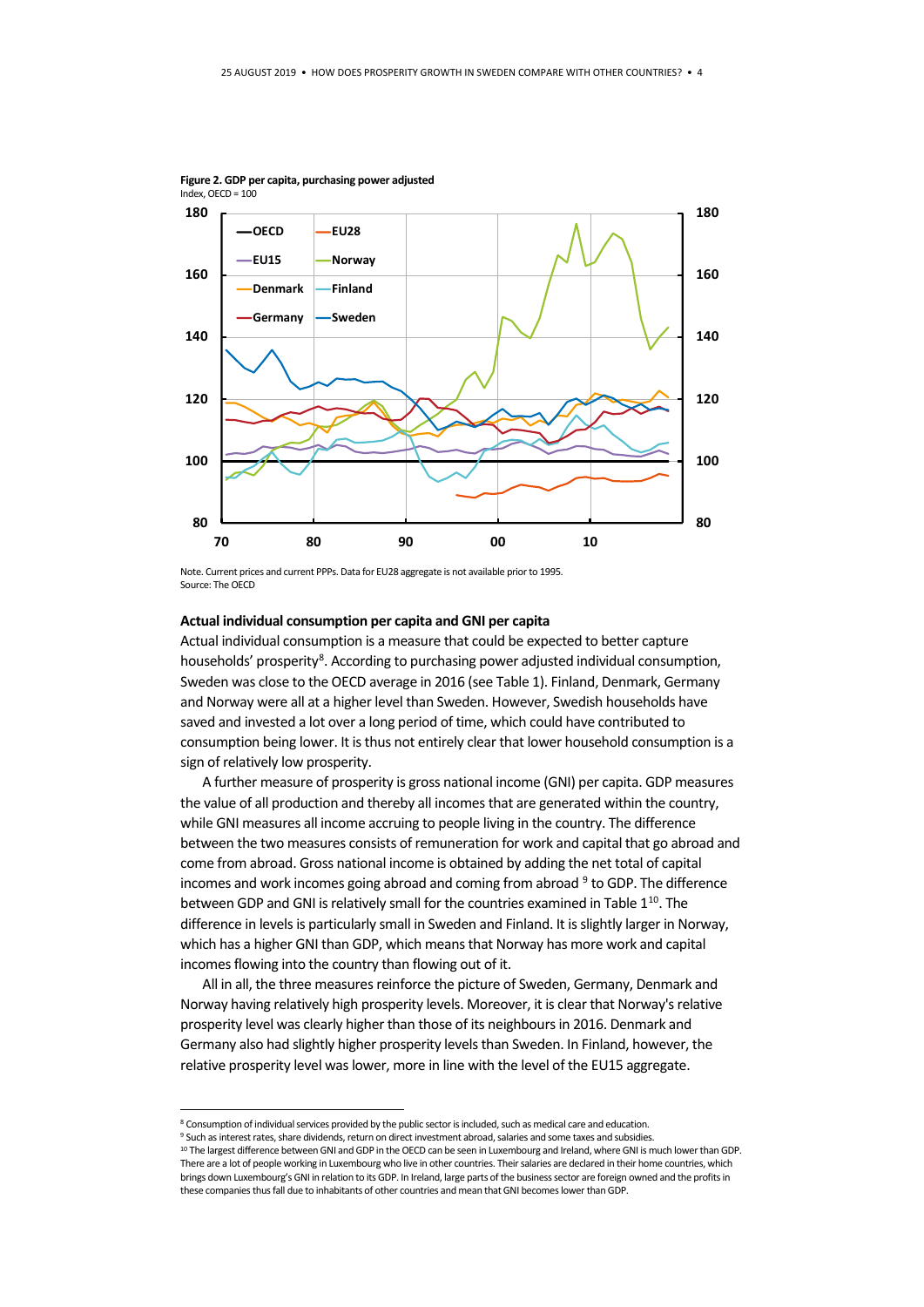

**Figure 2. GDP per capita, purchasing power adjusted**  Index, OECD = 100

Note. Current prices and current PPPs. Data for EU28 aggregate is not available prior to 1995. Source: The OECD

#### **Actual individual consumption per capita and GNI per capita**

Actual individual consumption is a measure that could be expected to better capture households' prosperity<sup>[8](#page-3-0)</sup>. According to purchasing power adjusted individual consumption, Sweden was close to the OECD average in 2016 (see Table 1). Finland, Denmark, Germany and Norway were all at a higher level than Sweden. However, Swedish households have saved and invested a lot over a long period of time, which could have contributed to consumption being lower. It is thus not entirely clear that lower household consumption is a sign of relatively low prosperity.

A further measure of prosperity is gross national income (GNI) per capita. GDP measures the value of all production and thereby all incomes that are generated within the country, while GNI measures all income accruing to people living in the country. The difference between the two measures consists of remuneration for work and capital that go abroad and come from abroad. Gross national income is obtained by adding the net total of capital incomes and work incomes going abroad and coming from abroad  $9$  to GDP. The difference between GDP and GNI is relatively small for the countries examined in Table  $1^{10}$ . The difference in levels is particularly small in Sweden and Finland. It is slightly larger in Norway, which has a higher GNI than GDP, which means that Norway has more work and capital incomes flowing into the country than flowing out of it.

All in all, the three measures reinforce the picture of Sweden, Germany, Denmark and Norway having relatively high prosperity levels. Moreover, it is clear that Norway's relative prosperity level was clearly higher than those of its neighbours in 2016. Denmark and Germany also had slightly higher prosperity levels than Sweden. In Finland, however, the relative prosperity level was lower, more in line with the level of the EU15 aggregate.

<span id="page-3-0"></span> <sup>8</sup> Consumption of individual services provided by the public sector is included, such as medical care and education.

<span id="page-3-1"></span><sup>9</sup> Such as interest rates, share dividends, return on direct investment abroad, salaries and some taxes and subsidies.

<span id="page-3-2"></span><sup>10</sup> The largest difference between GNI and GDP in the OECD can be seen in Luxembourg and Ireland, where GNI is much lower than GDP. There are a lot of people working in Luxembourg who live in other countries. Their salaries are declared in their home countries, which brings down Luxembourg's GNI in relation to its GDP. In Ireland, large parts of the business sector are foreign owned and the profits in these companies thus fall due to inhabitants of other countries and mean that GNI becomes lower than GDP.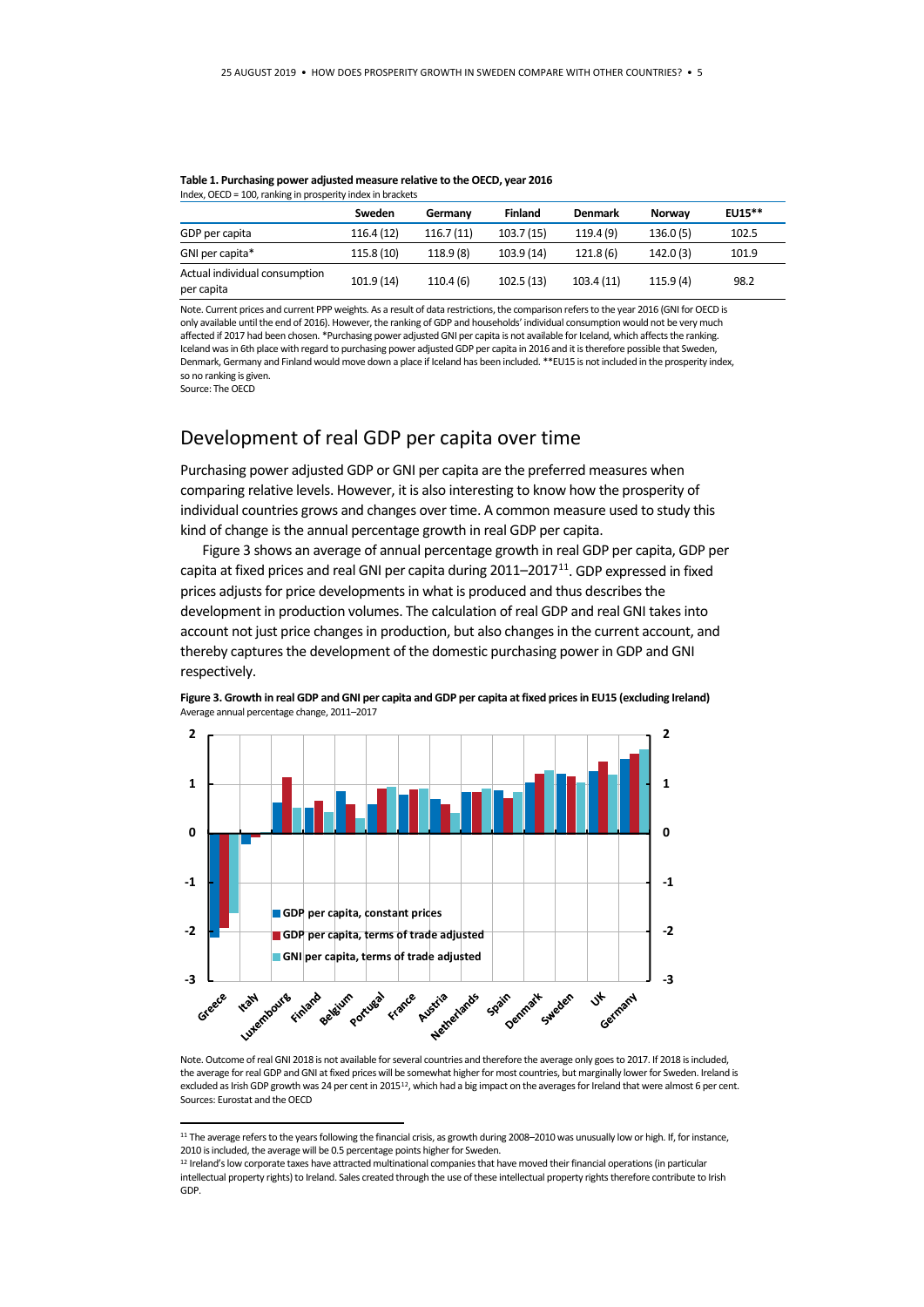|                                             | Sweden     | Germany   | <b>Finland</b> | Denmark   | Norway   | $EU15***$ |
|---------------------------------------------|------------|-----------|----------------|-----------|----------|-----------|
| GDP per capita                              | 116.4 (12) | 116.7(11) | 103.7(15)      | 119.4(9)  | 136.0(5) | 102.5     |
| GNI per capita*                             | 115.8(10)  | 118.9 (8) | 103.9 (14)     | 121.8(6)  | 142.0(3) | 101.9     |
| Actual individual consumption<br>per capita | 101.9 (14) | 110.4(6)  | 102.5(13)      | 103.4(11) | 115.9(4) | 98.2      |

## **Table 1. Purchasing power adjusted measure relative to the OECD, year 2016**

Note. Current prices and current PPP weights. As a result of data restrictions, the comparison refers to the year 2016 (GNI for OECD is only available until the end of 2016). However, the ranking of GDP and households' individual consumption would not be very much affected if 2017 had been chosen. \*Purchasing power adjusted GNI per capita is not available for Iceland, which affects the ranking. Iceland was in 6th place with regard to purchasing power adjusted GDP per capita in 2016 and it is therefore possible that Sweden, Denmark, Germany and Finland would move down a place if Iceland has been included. \*\*EU15 is not included in the prosperity index, so no ranking is given.

Source: The OECD

## Development of real GDP per capita over time

Purchasing power adjusted GDP or GNI per capita are the preferred measures when comparing relative levels. However, it is also interesting to know how the prosperity of individual countries grows and changes over time. A common measure used to study this kind of change is the annual percentage growth in real GDP per capita.

Figure 3 shows an average of annual percentage growth in real GDP per capita, GDP per capita at fixed prices and real GNI per capita during  $2011-2017^{11}$ . GDP expressed in fixed prices adjusts for price developments in what is produced and thus describes the development in production volumes. The calculation of real GDP and real GNI takes into account not just price changes in production, but also changes in the current account, and thereby captures the development of the domestic purchasing power in GDP and GNI respectively.



**Figure 3. Growth in real GDP and GNI per capita and GDP per capita at fixed prices in EU15 (excluding Ireland)**  Average annual percentage change, 2011–2017

Note. Outcome of real GNI 2018 is not available for several countries and therefore the average only goes to 2017. If 2018 is included, the average for real GDP and GNI at fixed prices will be somewhat higher for most countries, but marginally lower for Sweden. Ireland is excluded as Irish GDP growth was 24 per cent in 2015<sup>[12](#page-4-1)</sup>, which had a big impact on the averages for Ireland that were almost 6 per cent. Sources: Eurostat and the OECD

<span id="page-4-0"></span><sup>&</sup>lt;sup>11</sup> The average refers to the years following the financial crisis, as growth during 2008–2010 was unusually low or high. If, for instance, 2010 is included, the average will be 0.5 percentage points higher for Sweden.

<span id="page-4-1"></span><sup>12</sup> Ireland's low corporate taxes have attracted multinational companies that have moved their financial operations (in particular intellectual property rights) to Ireland. Sales created through the use of these intellectual property rights therefore contribute to Irish GDP.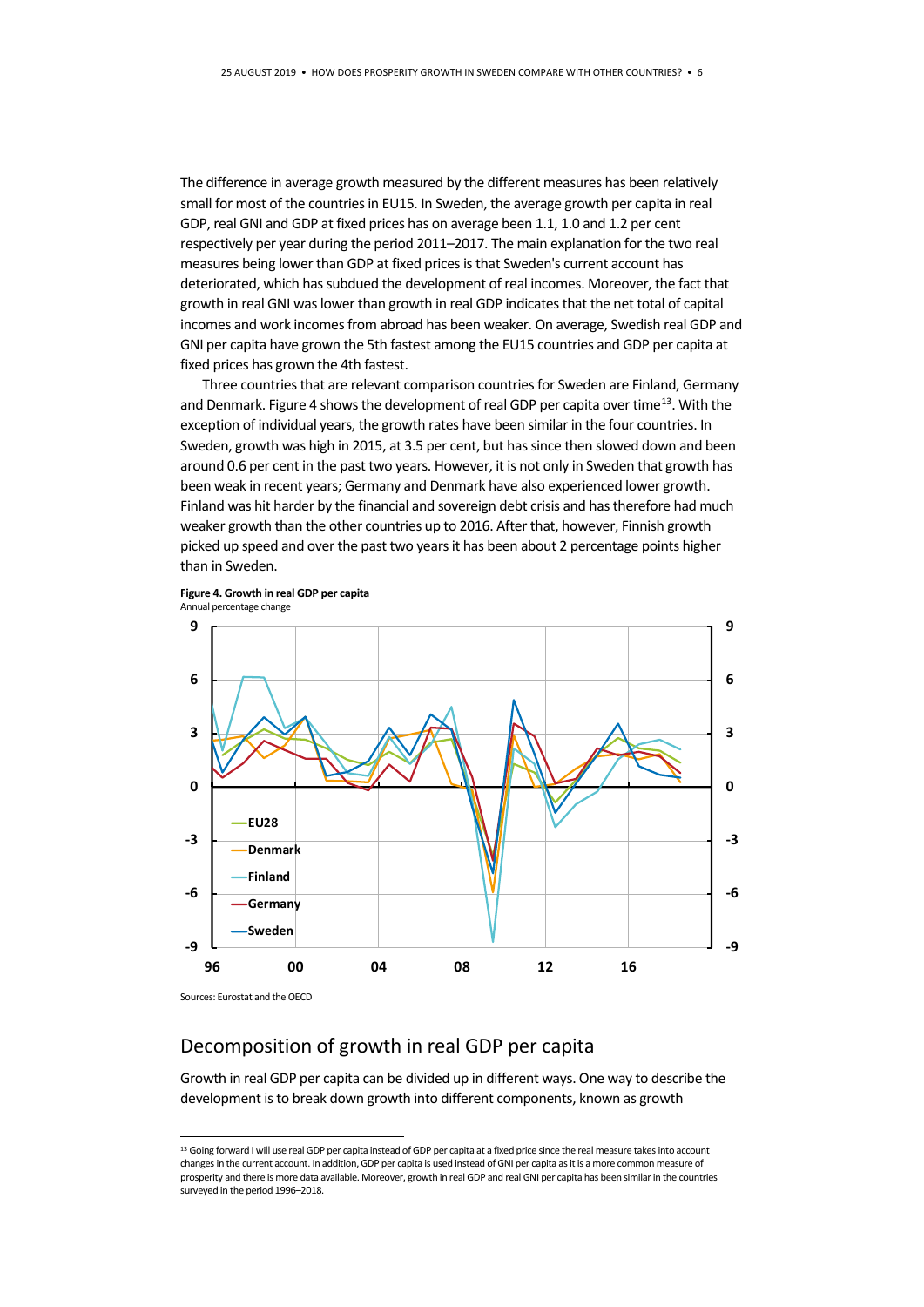The difference in average growth measured by the different measures has been relatively small for most of the countries in EU15. In Sweden, the average growth per capita in real GDP, real GNI and GDP at fixed prices has on average been 1.1, 1.0 and 1.2 per cent respectively per year during the period 2011–2017. The main explanation for the two real measures being lower than GDP at fixed prices is that Sweden's current account has deteriorated, which has subdued the development of real incomes. Moreover, the fact that growth in real GNI was lower than growth in real GDP indicates that the net total of capital incomes and work incomes from abroad has been weaker. On average, Swedish real GDP and GNI per capita have grown the 5th fastest among the EU15 countries and GDP per capita at fixed prices has grown the 4th fastest.

Three countries that are relevant comparison countries for Sweden are Finland, Germany and Denmark. Figure 4 shows the development of real GDP per capita over time<sup>13</sup>. With the exception of individual years, the growth rates have been similar in the four countries. In Sweden, growth was high in 2015, at 3.5 per cent, but has since then slowed down and been around 0.6 per cent in the past two years. However, it is not only in Sweden that growth has been weak in recent years; Germany and Denmark have also experienced lower growth. Finland was hit harder by the financial and sovereign debt crisis and has therefore had much weaker growth than the other countries up to 2016. After that, however, Finnish growth picked up speed and over the past two years it has been about 2 percentage points higher than in Sweden.





Sources: Eurostat and the OECD

## Decomposition of growth in real GDP per capita

Growth in real GDP per capita can be divided up in different ways. One way to describe the development is to break down growth into different components, known as growth

<span id="page-5-0"></span><sup>&</sup>lt;sup>13</sup> Going forward I will use real GDP per capita instead of GDP per capita at a fixed price since the real measure takes into account changes in the current account. In addition, GDP per capita is used instead of GNI per capita as it is a more common measure of prosperity and there is more data available. Moreover, growth in real GDP and real GNI per capita has been similar in the countries surveyed in the period 1996–2018.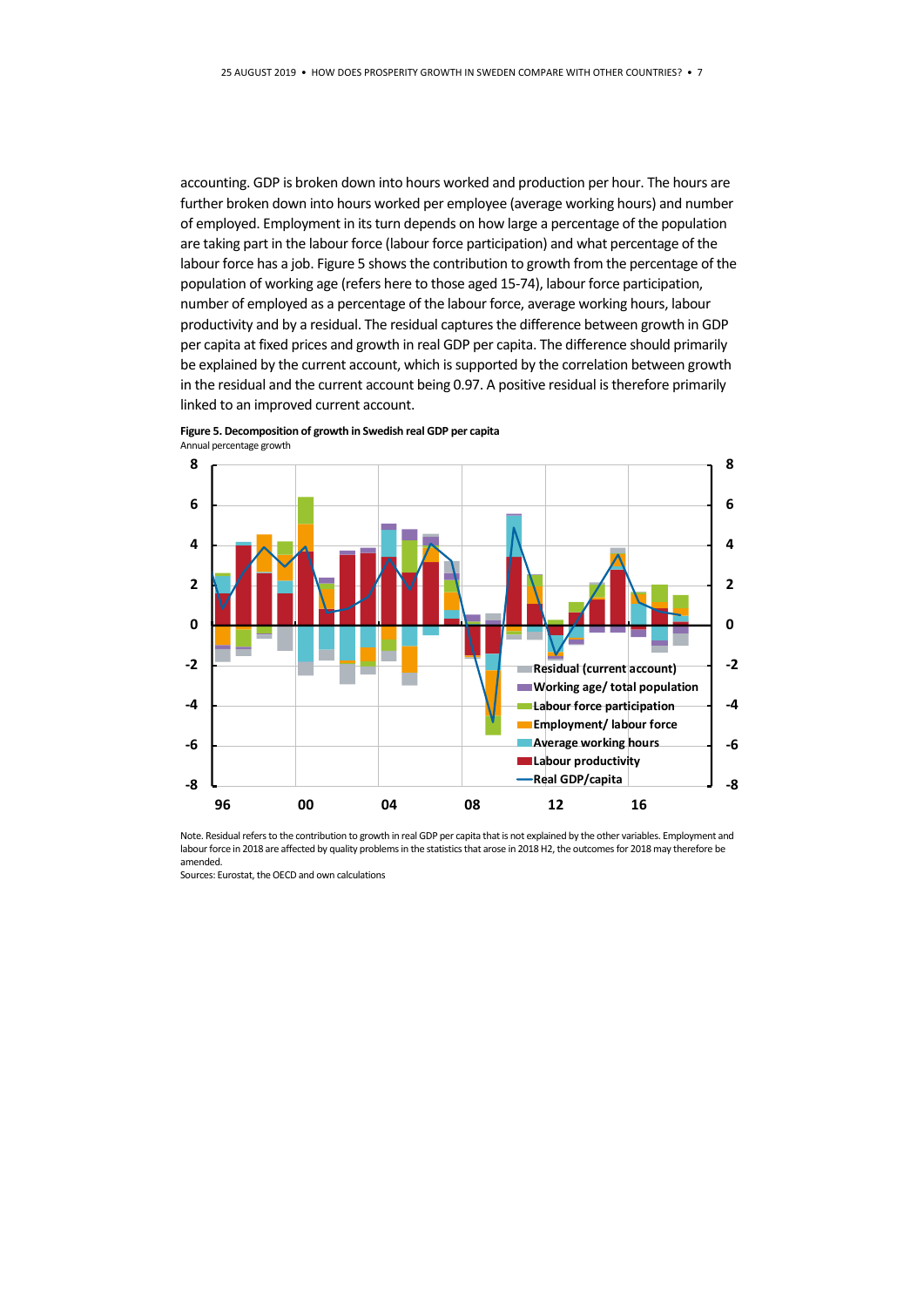accounting. GDP is broken down into hours worked and production per hour. The hours are further broken down into hours worked per employee (average working hours) and number of employed. Employment in its turn depends on how large a percentage of the population are taking part in the labour force (labour force participation) and what percentage of the labour force has a job. Figure 5 shows the contribution to growth from the percentage of the population of working age (refers here to those aged 15-74), labour force participation, number of employed as a percentage of the labour force, average working hours, labour productivity and by a residual. The residual captures the difference between growth in GDP per capita at fixed prices and growth in real GDP per capita. The difference should primarily be explained by the current account, which is supported by the correlation between growth in the residual and the current account being 0.97. A positive residual is therefore primarily linked to an improved current account.



**Figure 5. Decomposition of growth in Swedish real GDP per capita** 

Note. Residual refers to the contribution to growth in real GDP per capita that is not explained by the other variables. Employment and labour force in 2018 are affected by quality problems in the statistics that arose in 2018 H2, the outcomes for 2018 may therefore be amended.

Sources: Eurostat, the OECD and own calculations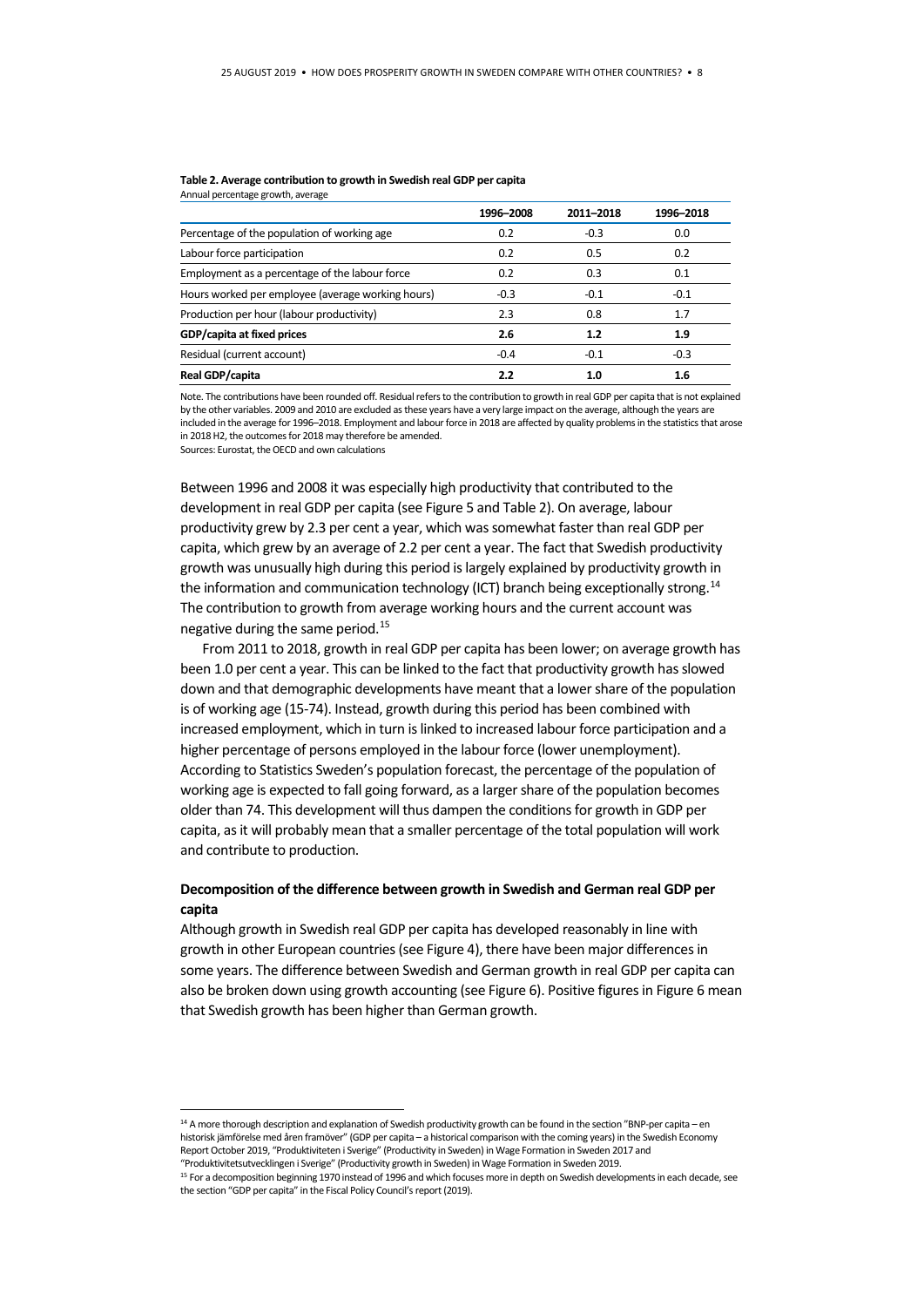#### **Table 2. Average contribution to growth in Swedish real GDP per capita** Annual percentage growth, average

|                                                   | 1996-2008 | 2011-2018 | 1996-2018 |
|---------------------------------------------------|-----------|-----------|-----------|
| Percentage of the population of working age       | 0.2       | $-0.3$    | 0.0       |
| Labour force participation                        | 0.2       | 0.5       | 0.2       |
| Employment as a percentage of the labour force    | 0.2       | 0.3       | 0.1       |
| Hours worked per employee (average working hours) | $-0.3$    | $-0.1$    | $-0.1$    |
| Production per hour (labour productivity)         | 2.3       | 0.8       | 1.7       |
| GDP/capita at fixed prices                        | 2.6       | 1.2       | 1.9       |
| Residual (current account)                        | $-0.4$    | $-0.1$    | $-0.3$    |
| Real GDP/capita                                   | 2.2       | 1.0       | 1.6       |

Note. The contributions have been rounded off. Residual refers to the contribution to growth in real GDP per capita that is not explained by the other variables. 2009 and 2010 are excluded as these years have a very large impact on the average, although the years are included in the average for 1996–2018. Employment and labour force in 2018 are affected by quality problems in the statistics that arose in 2018 H2, the outcomes for 2018 may therefore be amended. Sources: Eurostat, the OECD and own calculations

Between 1996 and 2008 it was especially high productivity that contributed to the development in real GDP per capita (see Figure 5 and Table 2). On average, labour productivity grew by 2.3 per cent a year, which was somewhat faster than real GDP per capita, which grew by an average of 2.2 per cent a year. The fact that Swedish productivity growth was unusually high during this period is largely explained by productivity growth in the information and communication technology (ICT) branch being exceptionally strong.<sup>[14](#page-7-0)</sup> The contribution to growth from average working hours and the current account was negative during the same period.[15](#page-7-1)

From 2011 to 2018, growth in real GDP per capita has been lower; on average growth has been 1.0 per cent a year. This can be linked to the fact that productivity growth has slowed down and that demographic developments have meant that a lower share of the population is of working age (15-74). Instead, growth during this period has been combined with increased employment, which in turn is linked to increased labour force participation and a higher percentage of persons employed in the labour force (lower unemployment). According to Statistics Sweden's population forecast, the percentage of the population of working age is expected to fall going forward, as a larger share of the population becomes older than 74. This development will thus dampen the conditions for growth in GDP per capita, as it will probably mean that a smaller percentage of the total population will work and contribute to production.

## **Decomposition of the difference between growth in Swedish and German real GDP per capita**

Although growth in Swedish real GDP per capita has developed reasonably in line with growth in other European countries (see Figure 4), there have been major differences in some years. The difference between Swedish and German growth in real GDP per capita can also be broken down using growth accounting (see Figure 6). Positive figures in Figure 6 mean that Swedish growth has been higher than German growth.

<span id="page-7-0"></span><sup>14</sup> A more thorough description and explanation of Swedish productivity growth can be found in the section "BNP-per capita – en historisk jämförelse med åren framöver" (GDP per capita – a historical comparison with the coming years) in the Swedish Economy Report October 2019, "Produktiviteten i Sverige" (Productivity in Sweden) in Wage Formation in Sweden 2017 and "Produktivitetsutvecklingen i Sverige" (Productivity growth in Sweden) in Wage Formation in Sweden 2019.

<span id="page-7-1"></span><sup>15</sup> For a decomposition beginning 1970 instead of 1996 and which focuses more in depth on Swedish developments in each decade, see the section "GDP per capita" in the Fiscal Policy Council's report (2019).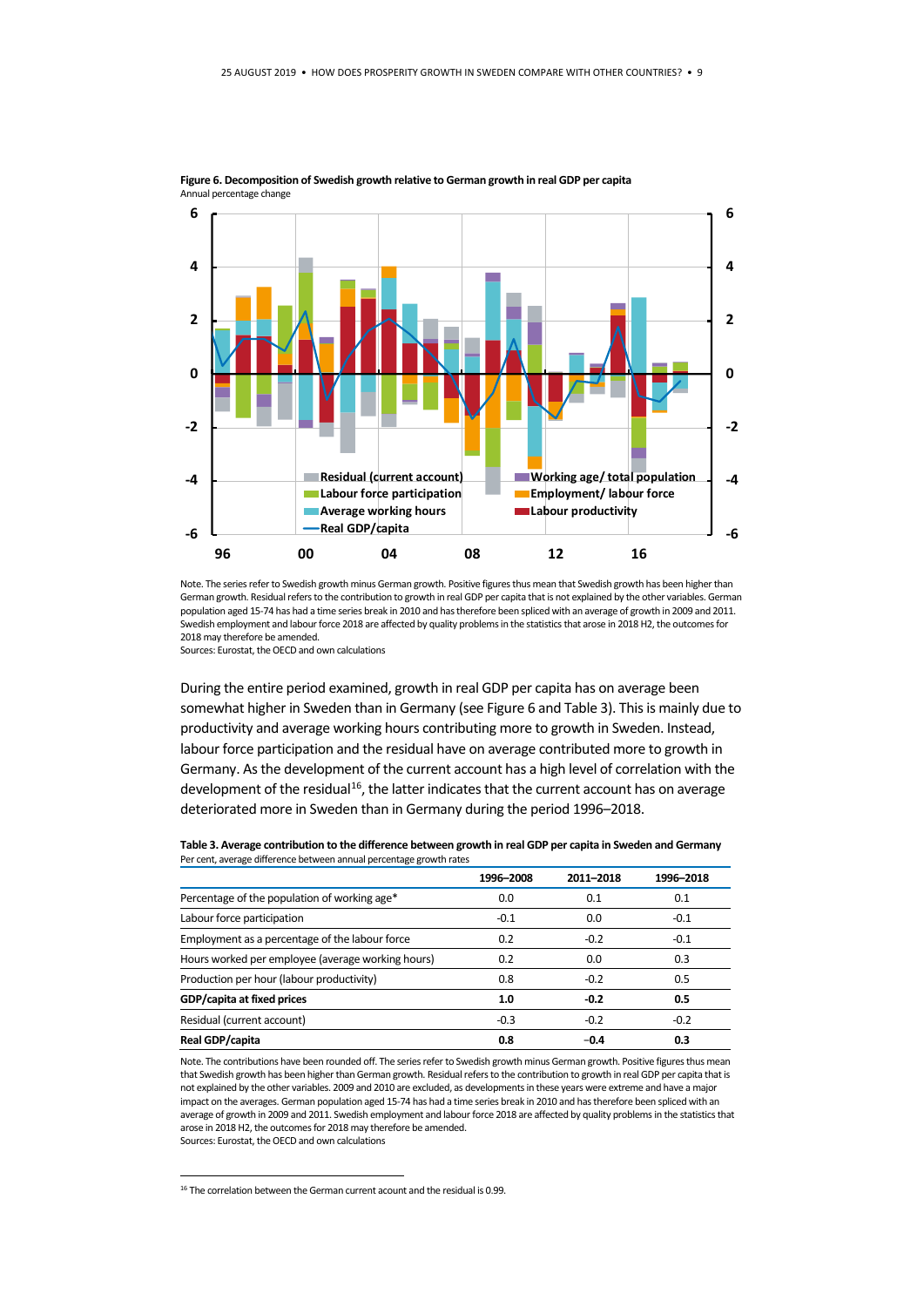

**Figure 6. Decomposition of Swedish growth relative to German growth in real GDP per capita**  Annual percentage change

Note. The series refer to Swedish growth minus German growth. Positive figures thus mean that Swedish growth has been higher than German growth. Residual refers to the contribution to growth in real GDP per capita that is not explained by the other variables. German population aged 15-74 has had a time series break in 2010 and has therefore been spliced with an average of growth in 2009 and 2011. Swedish employment and labour force 2018 are affected by quality problems in the statistics that arose in 2018 H2, the outcomes for 2018 may therefore be amended.

Sources: Eurostat, the OECD and own calculations

During the entire period examined, growth in real GDP per capita has on average been somewhat higher in Sweden than in Germany (see Figure 6 and Table 3). This is mainly due to productivity and average working hours contributing more to growth in Sweden. Instead, labour force participation and the residual have on average contributed more to growth in Germany. As the development of the current account has a high level of correlation with the development of the residual<sup>[16](#page-8-0)</sup>, the latter indicates that the current account has on average deteriorated more in Sweden than in Germany during the period 1996–2018.

| Table 3. Average contribution to the difference between growth in real GDP per capita in Sweden and Germany |  |
|-------------------------------------------------------------------------------------------------------------|--|
| Per cent, average difference between annual percentage growth rates                                         |  |

|                                                   | 1996-2008 | 2011-2018 | 1996-2018 |
|---------------------------------------------------|-----------|-----------|-----------|
| Percentage of the population of working age*      | 0.0       | 0.1       | 0.1       |
| Labour force participation                        | $-0.1$    | 0.0       | $-0.1$    |
| Employment as a percentage of the labour force    | 0.2       | $-0.2$    | $-0.1$    |
| Hours worked per employee (average working hours) | 0.2       | 0.0       | 0.3       |
| Production per hour (labour productivity)         | 0.8       | $-0.2$    | 0.5       |
| GDP/capita at fixed prices                        | 1.0       | $-0.2$    | 0.5       |
| Residual (current account)                        | $-0.3$    | $-0.2$    | $-0.2$    |
| Real GDP/capita                                   | 0.8       | $-0.4$    | 0.3       |

Note. The contributions have been rounded off. The series refer to Swedish growth minus German growth. Positive figures thus mean that Swedish growth has been higher than German growth. Residual refers to the contribution to growth in real GDP per capita that is not explained by the other variables. 2009 and 2010 are excluded, as developments in these years were extreme and have a major impact on the averages. German population aged 15-74 has had a time series break in 2010 and has therefore been spliced with an average of growth in 2009 and 2011. Swedish employment and labour force 2018 are affected by quality problems in the statistics that arose in 2018 H2, the outcomes for 2018 may therefore be amended. Sources: Eurostat, the OECD and own calculations

<span id="page-8-0"></span><sup>&</sup>lt;sup>16</sup> The correlation between the German current acount and the residual is 0.99.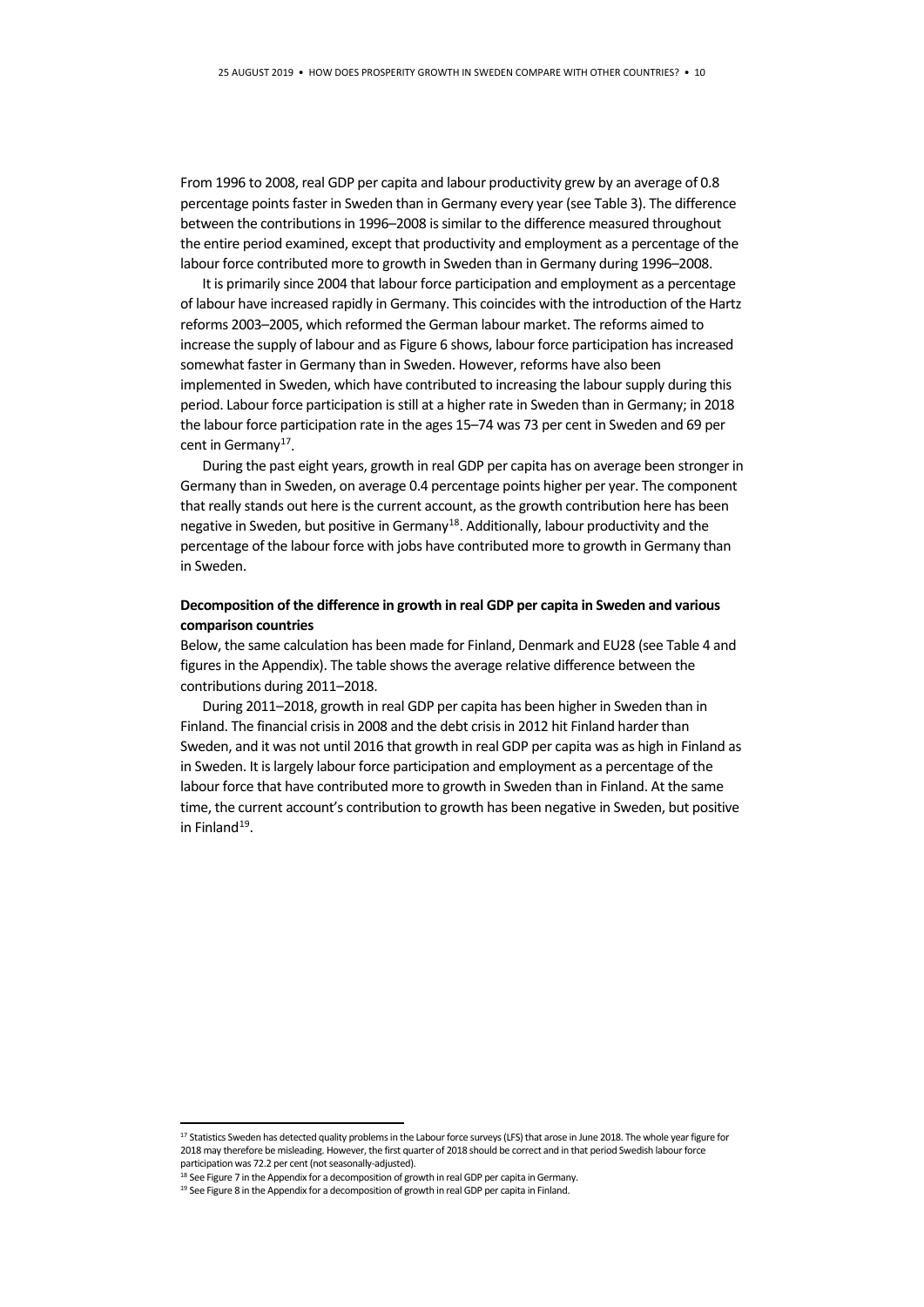From 1996 to 2008, real GDP per capita and labour productivity grew by an average of 0.8 percentage points faster in Sweden than in Germany every year (see Table 3). The difference between the contributions in 1996–2008 is similar to the difference measured throughout the entire period examined, except that productivity and employment as a percentage of the labour force contributed more to growth in Sweden than in Germany during 1996–2008.

It is primarily since 2004 that labour force participation and employment as a percentage of labour have increased rapidly in Germany. This coincides with the introduction of the Hartz reforms 2003–2005, which reformed the German labour market. The reforms aimed to increase the supply of labour and as Figure 6 shows, labour force participation has increased somewhat faster in Germany than in Sweden. However, reforms have also been implemented in Sweden, which have contributed to increasing the labour supply during this period. Labour force participation is still at a higher rate in Sweden than in Germany; in 2018 the labour force participation rate in the ages 15–74 was 73 per cent in Sweden and 69 per cent in Germany<sup>17</sup>.

During the past eight years, growth in real GDP per capita has on average been stronger in Germany than in Sweden, on average 0.4 percentage points higher per year. The component that really stands out here is the current account, as the growth contribution here has been negative in Sweden, but positive in Germany<sup>[18](#page-9-1)</sup>. Additionally, labour productivity and the percentage of the labour force with jobs have contributed more to growth in Germany than in Sweden.

### **Decomposition of the difference in growth in real GDP per capita in Sweden and various comparison countries**

Below, the same calculation has been made for Finland, Denmark and EU28 (see Table 4 and figures in the Appendix). The table shows the average relative difference between the contributions during 2011–2018.

During 2011–2018, growth in real GDP per capita has been higher in Sweden than in Finland. The financial crisis in 2008 and the debt crisis in 2012 hit Finland harder than Sweden, and it was not until 2016 that growth in real GDP per capita was as high in Finland as in Sweden. It is largely labour force participation and employment as a percentage of the labour force that have contributed more to growth in Sweden than in Finland. At the same time, the current account's contribution to growth has been negative in Sweden, but positive in Finland $19$ .

<span id="page-9-0"></span><sup>17</sup> Statistics Sweden has detected quality problems in the Labour force surveys (LFS) that arose in June 2018. The whole year figure for 2018 may therefore be misleading. However, the first quarter of 2018 should be correct and in that period Swedish labour force participation was 72.2 per cent (not seasonally-adjusted).<br><sup>18</sup> See Figure 7 in the Appendix for a decomposition of growth in real GDP per capita in Germany.

<span id="page-9-2"></span><span id="page-9-1"></span><sup>&</sup>lt;sup>19</sup> See Figure 8 in the Appendix for a decomposition of growth in real GDP per capita in Finland.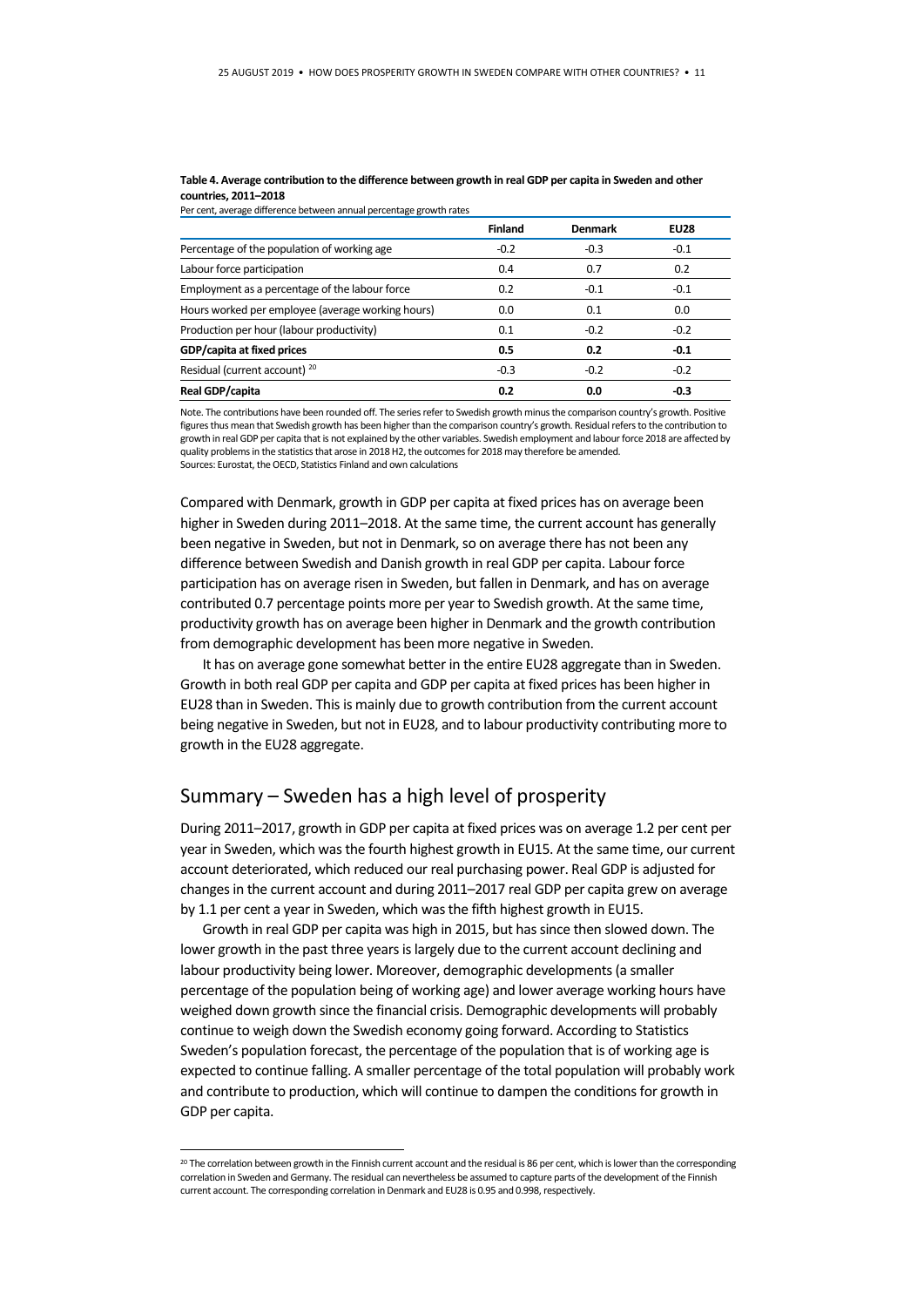|                                                   | <b>Finland</b> | <b>Denmark</b> | <b>EU28</b> |
|---------------------------------------------------|----------------|----------------|-------------|
| Percentage of the population of working age       | $-0.2$         | $-0.3$         | $-0.1$      |
| Labour force participation                        | 0.4            | 0.7            | 0.2         |
| Employment as a percentage of the labour force    | 0.2            | $-0.1$         | $-0.1$      |
| Hours worked per employee (average working hours) | 0.0            | 0.1            | 0.0         |
| Production per hour (labour productivity)         | 0.1            | $-0.2$         | $-0.2$      |
| GDP/capita at fixed prices                        | 0.5            | 0.2            | $-0.1$      |
| Residual (current account) <sup>20</sup>          | $-0.3$         | $-0.2$         | $-0.2$      |
| Real GDP/capita                                   | 0.2            | 0.0            | $-0.3$      |

**Table 4. Average contribution to the difference between growth in real GDP per capita in Sweden and other countries, 2011–2018** Per cent, average difference between annual percentage growth rates

Note. The contributions have been rounded off. The series refer to Swedish growth minus the comparison country's growth. Positive figures thus mean that Swedish growth has been higher than the comparison country's growth. Residual refers to the contribution to growth in real GDP per capita that is not explained by the other variables. Swedish employment and labour force 2018 are affected by quality problems in the statistics that arose in 2018 H2, the outcomes for 2018 may therefore be amended. Sources: Eurostat, the OECD, Statistics Finland and own calculations

Compared with Denmark, growth in GDP per capita at fixed prices has on average been higher in Sweden during 2011–2018. At the same time, the current account has generally been negative in Sweden, but not in Denmark, so on average there has not been any difference between Swedish and Danish growth in real GDP per capita. Labour force participation has on average risen in Sweden, but fallen in Denmark, and has on average contributed 0.7 percentage points more per year to Swedish growth. At the same time, productivity growth has on average been higher in Denmark and the growth contribution from demographic development has been more negative in Sweden.

It has on average gone somewhat better in the entire EU28 aggregate than in Sweden. Growth in both real GDP per capita and GDP per capita at fixed prices has been higher in EU28 than in Sweden. This is mainly due to growth contribution from the current account being negative in Sweden, but not in EU28, and to labour productivity contributing more to growth in the EU28 aggregate.

## Summary – Sweden has a high level of prosperity

During 2011–2017, growth in GDP per capita at fixed prices was on average 1.2 per cent per year in Sweden, which was the fourth highest growth in EU15. At the same time, our current account deteriorated, which reduced our real purchasing power. Real GDP is adjusted for changes in the current account and during 2011–2017 real GDP per capita grew on average by 1.1 per cent a year in Sweden, which was the fifth highest growth in EU15.

Growth in real GDP per capita was high in 2015, but has since then slowed down. The lower growth in the past three years is largely due to the current account declining and labour productivity being lower. Moreover, demographic developments (a smaller percentage of the population being of working age) and lower average working hours have weighed down growth since the financial crisis. Demographic developments will probably continue to weigh down the Swedish economy going forward. According to Statistics Sweden's population forecast, the percentage of the population that is of working age is expected to continue falling. A smaller percentage of the total population will probably work and contribute to production, which will continue to dampen the conditions for growth in GDP per capita.

<span id="page-10-0"></span><sup>&</sup>lt;sup>20</sup> The correlation between growth in the Finnish current account and the residual is 86 per cent, which is lower than the corresponding correlation in Sweden and Germany. The residual can nevertheless be assumed to capture parts of the development of the Finnish current account. The corresponding correlation in Denmark and EU28 is 0.95 and 0.998, respectively.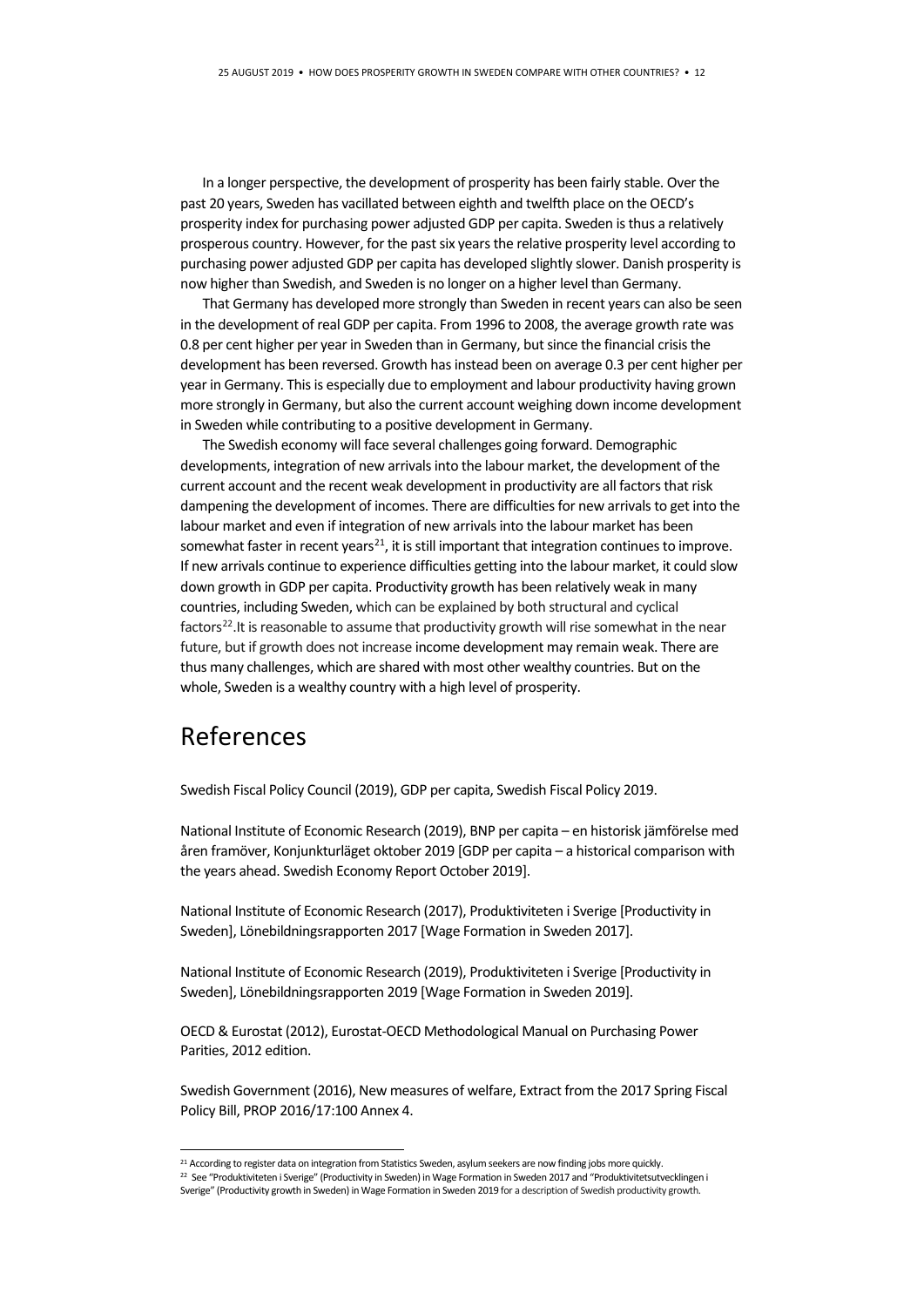In a longer perspective, the development of prosperity has been fairly stable. Over the past 20 years, Sweden has vacillated between eighth and twelfth place on the OECD's prosperity index for purchasing power adjusted GDP per capita. Sweden is thus a relatively prosperous country. However, for the past six years the relative prosperity level according to purchasing power adjusted GDP per capita has developed slightly slower. Danish prosperity is now higher than Swedish, and Sweden is no longer on a higher level than Germany.

That Germany has developed more strongly than Sweden in recent years can also be seen in the development of real GDP per capita. From 1996 to 2008, the average growth rate was 0.8 per cent higher per year in Sweden than in Germany, but since the financial crisis the development has been reversed. Growth has instead been on average 0.3 per cent higher per year in Germany. This is especially due to employment and labour productivity having grown more strongly in Germany, but also the current account weighing down income development in Sweden while contributing to a positive development in Germany.

The Swedish economy will face several challenges going forward. Demographic developments, integration of new arrivals into the labour market, the development of the current account and the recent weak development in productivity are all factors that risk dampening the development of incomes. There are difficulties for new arrivals to get into the labour market and even if integration of new arrivals into the labour market has been somewhat faster in recent years $^{21}$ , it is still important that integration continues to improve. If new arrivals continue to experience difficulties getting into the labour market, it could slow down growth in GDP per capita. Productivity growth has been relatively weak in many countries, including Sweden, which can be explained by both structural and cyclical factors<sup>22</sup>. It is reasonable to assume that productivity growth will rise somewhat in the near future, but if growth does not increase income development may remain weak. There are thus many challenges, which are shared with most other wealthy countries. But on the whole, Sweden is a wealthy country with a high level of prosperity.

## References

Swedish Fiscal Policy Council (2019), GDP per capita, Swedish Fiscal Policy 2019.

National Institute of Economic Research (2019), BNP per capita – en historisk jämförelse med åren framöver, Konjunkturläget oktober 2019 [GDP per capita – a historical comparison with the years ahead. Swedish Economy Report October 2019].

National Institute of Economic Research (2017), Produktiviteten i Sverige [Productivity in Sweden], Lönebildningsrapporten 2017 [Wage Formation in Sweden 2017].

National Institute of Economic Research (2019), Produktiviteten i Sverige [Productivity in Sweden], Lönebildningsrapporten 2019 [Wage Formation in Sweden 2019].

OECD & Eurostat (2012), Eurostat-OECD Methodological Manual on Purchasing Power Parities, 2012 edition.

Swedish Government (2016), New measures of welfare, Extract from the 2017 Spring Fiscal Policy Bill, PROP 2016/17:100 Annex 4.

<span id="page-11-1"></span><span id="page-11-0"></span><sup>&</sup>lt;sup>21</sup> According to register data on integration from Statistics Sweden, asylum seekers are now finding jobs more quickly.

<sup>&</sup>lt;sup>22</sup> See "Produktiviteten i Sverige" (Productivity in Sweden) in Wage Formation in Sweden 2017 and "Produktivitetsutvecklingen i

Sverige" (Productivity growth in Sweden) in Wage Formation in Sweden 2019 for a description of Swedish productivity growth.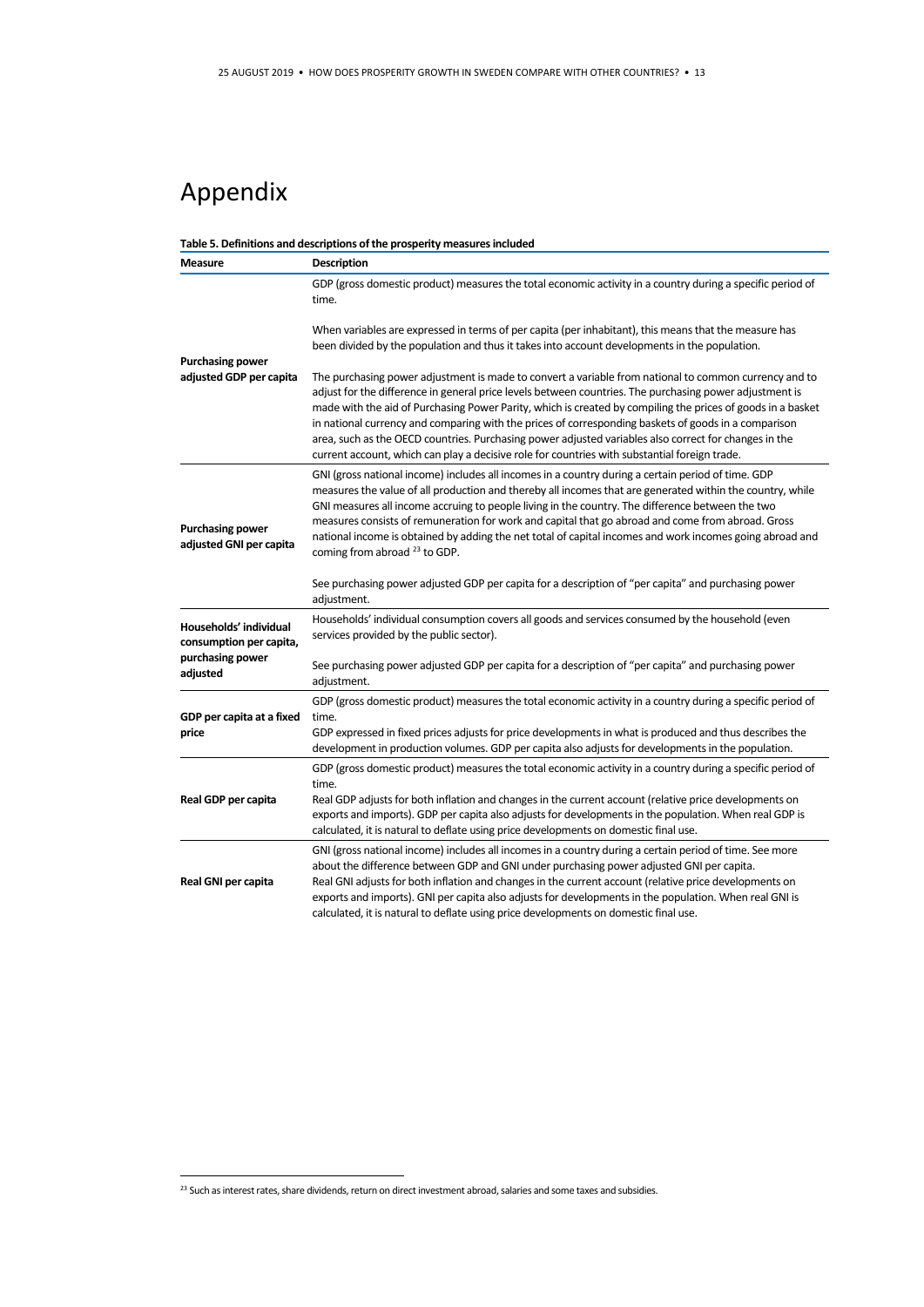# Appendix

#### **Table 5. Definitions and descriptions of the prosperity measures included**

| Measure                                            | <b>Description</b>                                                                                                                                                                                                                                                                                                                                                                                                                                                                                                                                                                                                                                |
|----------------------------------------------------|---------------------------------------------------------------------------------------------------------------------------------------------------------------------------------------------------------------------------------------------------------------------------------------------------------------------------------------------------------------------------------------------------------------------------------------------------------------------------------------------------------------------------------------------------------------------------------------------------------------------------------------------------|
|                                                    | GDP (gross domestic product) measures the total economic activity in a country during a specific period of<br>time.                                                                                                                                                                                                                                                                                                                                                                                                                                                                                                                               |
| <b>Purchasing power</b>                            | When variables are expressed in terms of per capita (per inhabitant), this means that the measure has<br>been divided by the population and thus it takes into account developments in the population.                                                                                                                                                                                                                                                                                                                                                                                                                                            |
| adjusted GDP per capita                            | The purchasing power adjustment is made to convert a variable from national to common currency and to<br>adjust for the difference in general price levels between countries. The purchasing power adjustment is<br>made with the aid of Purchasing Power Parity, which is created by compiling the prices of goods in a basket<br>in national currency and comparing with the prices of corresponding baskets of goods in a comparison<br>area, such as the OECD countries. Purchasing power adjusted variables also correct for changes in the<br>current account, which can play a decisive role for countries with substantial foreign trade. |
| <b>Purchasing power</b><br>adjusted GNI per capita | GNI (gross national income) includes all incomes in a country during a certain period of time. GDP<br>measures the value of all production and thereby all incomes that are generated within the country, while<br>GNI measures all income accruing to people living in the country. The difference between the two<br>measures consists of remuneration for work and capital that go abroad and come from abroad. Gross<br>national income is obtained by adding the net total of capital incomes and work incomes going abroad and<br>coming from abroad <sup>23</sup> to GDP.                                                                  |
|                                                    | See purchasing power adjusted GDP per capita for a description of "per capita" and purchasing power<br>adjustment.                                                                                                                                                                                                                                                                                                                                                                                                                                                                                                                                |
| Households' individual<br>consumption per capita,  | Households' individual consumption covers all goods and services consumed by the household (even<br>services provided by the public sector).                                                                                                                                                                                                                                                                                                                                                                                                                                                                                                      |
| purchasing power<br>adjusted                       | See purchasing power adjusted GDP per capita for a description of "per capita" and purchasing power<br>adjustment.                                                                                                                                                                                                                                                                                                                                                                                                                                                                                                                                |
| GDP per capita at a fixed                          | GDP (gross domestic product) measures the total economic activity in a country during a specific period of<br>time.                                                                                                                                                                                                                                                                                                                                                                                                                                                                                                                               |
| price                                              | GDP expressed in fixed prices adjusts for price developments in what is produced and thus describes the<br>development in production volumes. GDP per capita also adjusts for developments in the population.                                                                                                                                                                                                                                                                                                                                                                                                                                     |
|                                                    | GDP (gross domestic product) measures the total economic activity in a country during a specific period of<br>time.                                                                                                                                                                                                                                                                                                                                                                                                                                                                                                                               |
| Real GDP per capita                                | Real GDP adjusts for both inflation and changes in the current account (relative price developments on<br>exports and imports). GDP per capita also adjusts for developments in the population. When real GDP is<br>calculated, it is natural to deflate using price developments on domestic final use.                                                                                                                                                                                                                                                                                                                                          |
| Real GNI per capita                                | GNI (gross national income) includes all incomes in a country during a certain period of time. See more<br>about the difference between GDP and GNI under purchasing power adjusted GNI per capita.<br>Real GNI adjusts for both inflation and changes in the current account (relative price developments on<br>exports and imports). GNI per capita also adjusts for developments in the population. When real GNI is<br>calculated, it is natural to deflate using price developments on domestic final use.                                                                                                                                   |

<span id="page-12-0"></span><sup>&</sup>lt;sup>23</sup> Such as interest rates, share dividends, return on direct investment abroad, salaries and some taxes and subsidies.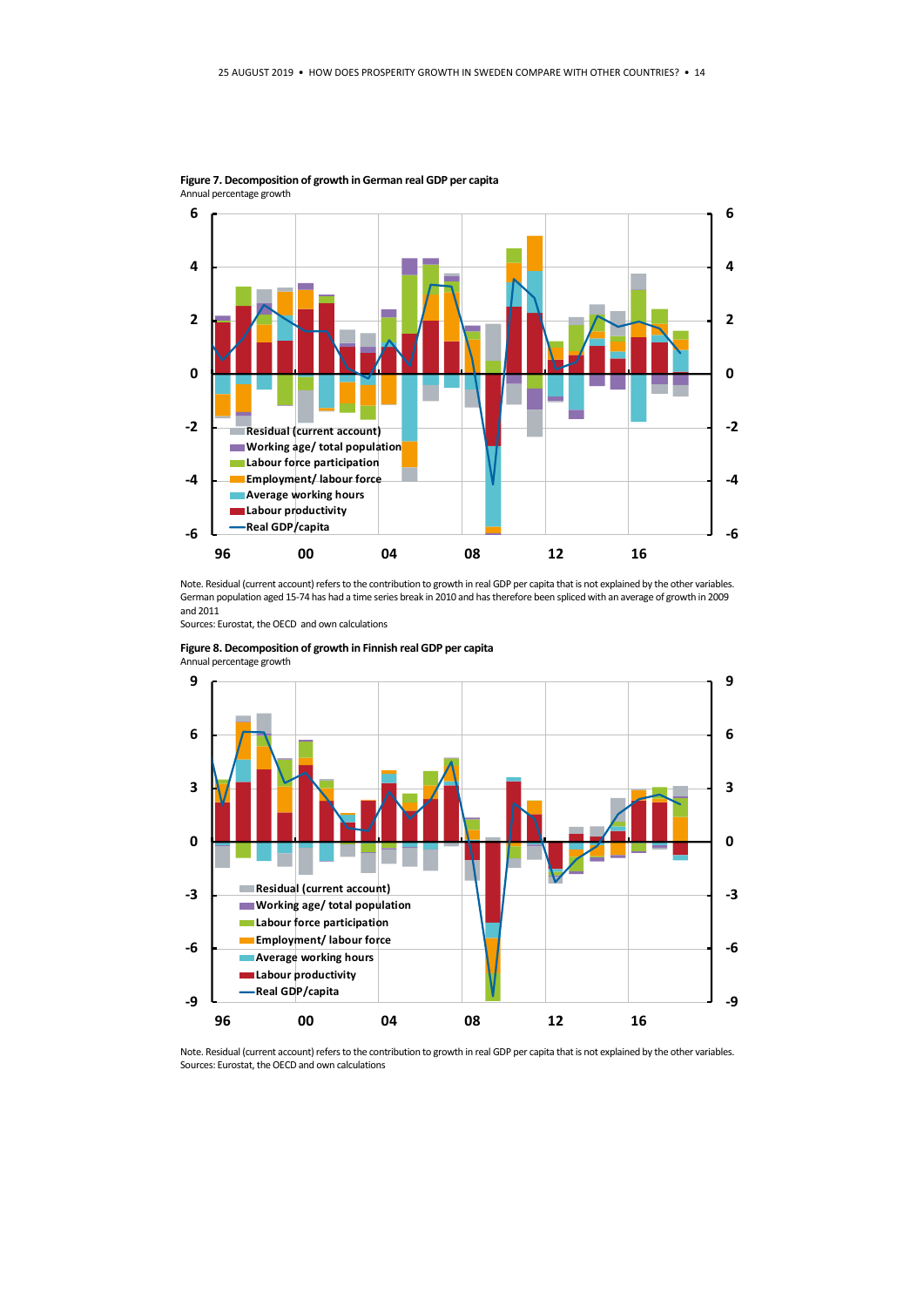

**Figure 7. Decomposition of growth in German real GDP per capita**  Annual percentage growth

Note. Residual (current account) refers to the contribution to growth in real GDP per capita that is not explained by the other variables. German population aged 15-74 has had a time series break in 2010 and has therefore been spliced with an average of growth in 2009 and 2011

Sources: Eurostat, the OECD and own calculations





Note. Residual (current account) refers to the contribution to growth in real GDP per capita that is not explained by the other variables. Sources: Eurostat, the OECD and own calculations

**Figure 8. Decomposition of growth in Finnish real GDP per capita**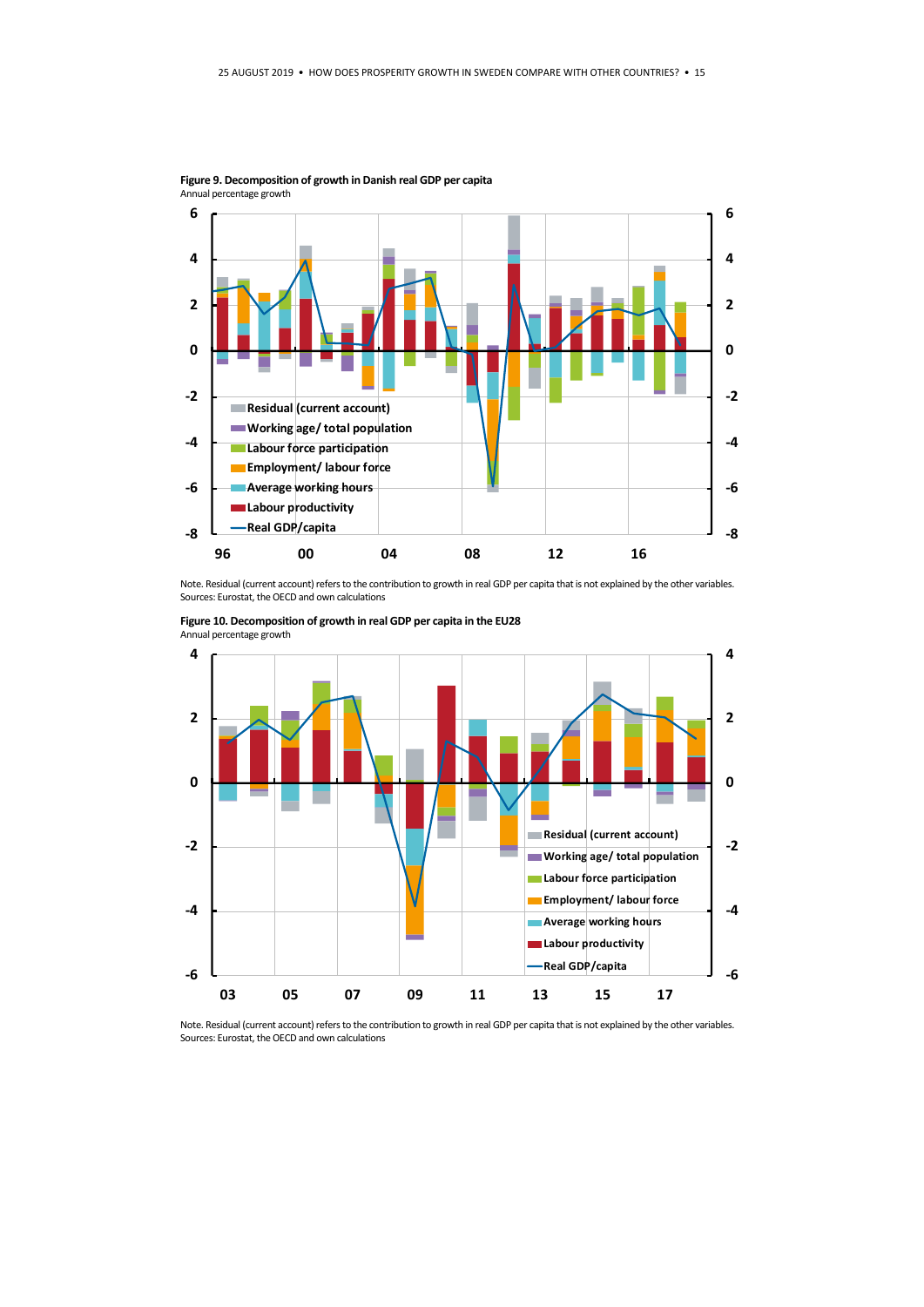

**Figure 9. Decomposition of growth in Danish real GDP per capita**

Note. Residual (current account) refers to the contribution to growth in real GDP per capita that is not explained by the other variables. Sources: Eurostat, the OECD and own calculations



**Figure 10. Decomposition of growth in real GDP per capita in the EU28**

Note. Residual (current account) refers to the contribution to growth in real GDP per capita that is not explained by the other variables. Sources: Eurostat, the OECD and own calculations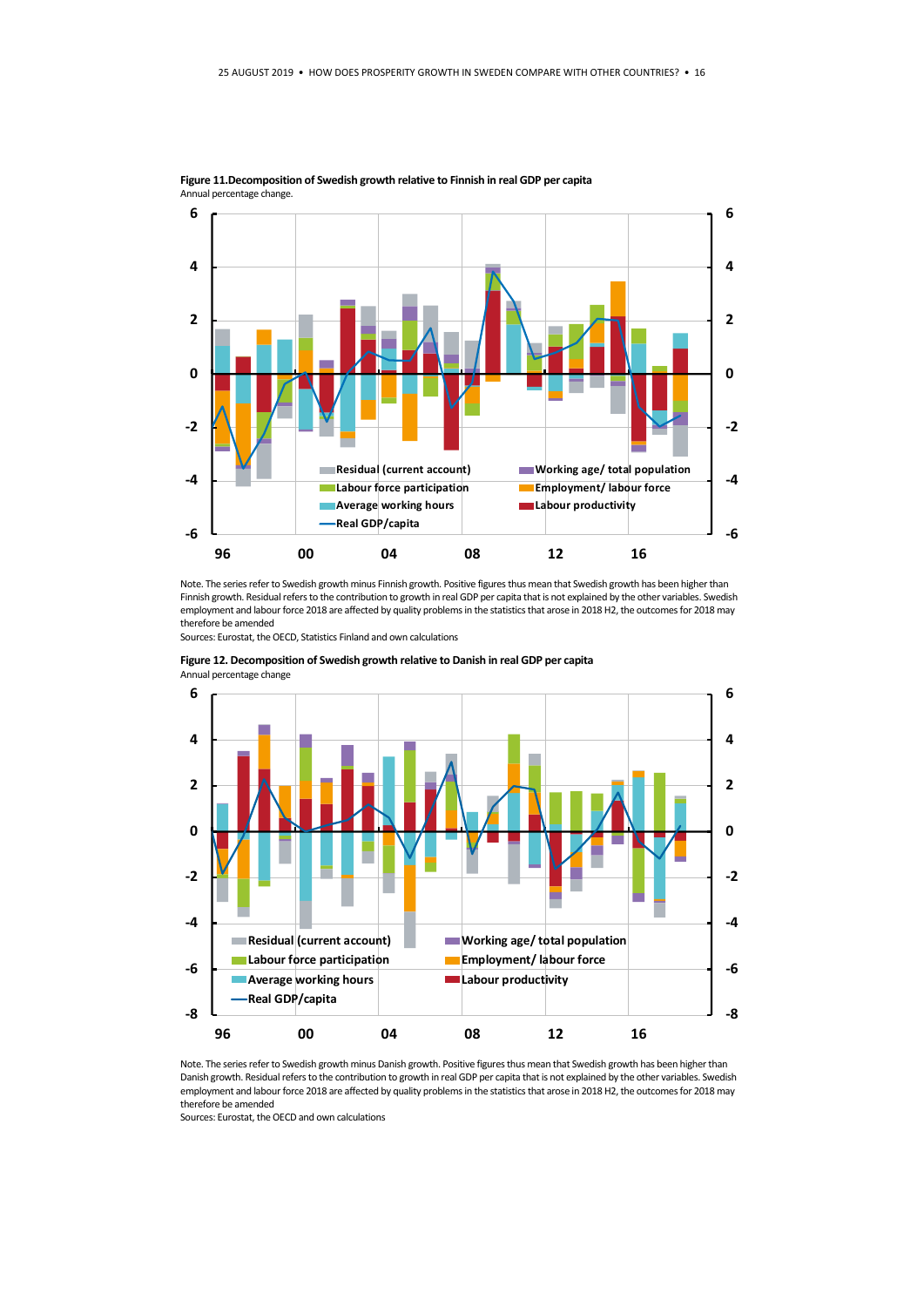

**Figure 11.Decomposition of Swedish growth relative to Finnish in real GDP per capita**  Annual percentage change.

Note. The series refer to Swedish growth minus Finnish growth. Positive figures thus mean that Swedish growth has been higher than Finnish growth. Residual refers to the contribution to growth in real GDP per capita that is not explained by the other variables. Swedish employment and labour force 2018 are affected by quality problems in the statistics that arose in 2018 H2, the outcomes for 2018 may therefore be amended

Sources: Eurostat, the OECD, Statistics Finland and own calculations



**Figure 12. Decomposition of Swedish growth relative to Danish in real GDP per capita**  Annual percentage change

Note. The series refer to Swedish growth minus Danish growth. Positive figures thus mean that Swedish growth has been higher than Danish growth. Residual refers to the contribution to growth in real GDP per capita that is not explained by the other variables. Swedish employment and labour force 2018 are affected by quality problems in the statistics that arose in 2018 H2, the outcomes for 2018 may therefore be amended

Sources: Eurostat, the OECD and own calculations